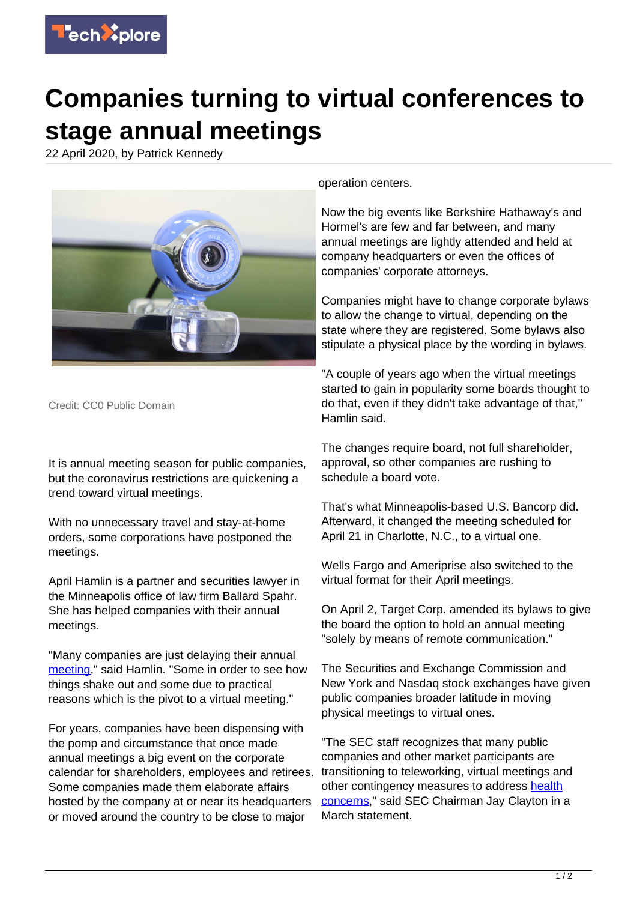

## **Companies turning to virtual conferences to stage annual meetings**

22 April 2020, by Patrick Kennedy



Credit: CC0 Public Domain

It is annual meeting season for public companies, but the coronavirus restrictions are quickening a trend toward virtual meetings.

With no unnecessary travel and stay-at-home orders, some corporations have postponed the meetings.

April Hamlin is a partner and securities lawyer in the Minneapolis office of law firm Ballard Spahr. She has helped companies with their annual meetings.

"Many companies are just delaying their annual [meeting](https://techxplore.com/tags/meeting/)," said Hamlin. "Some in order to see how things shake out and some due to practical reasons which is the pivot to a virtual meeting."

For years, companies have been dispensing with the pomp and circumstance that once made annual meetings a big event on the corporate calendar for shareholders, employees and retirees. Some companies made them elaborate affairs hosted by the company at or near its headquarters or moved around the country to be close to major

operation centers.

Now the big events like Berkshire Hathaway's and Hormel's are few and far between, and many annual meetings are lightly attended and held at company headquarters or even the offices of companies' corporate attorneys.

Companies might have to change corporate bylaws to allow the change to virtual, depending on the state where they are registered. Some bylaws also stipulate a physical place by the wording in bylaws.

"A couple of years ago when the virtual meetings started to gain in popularity some boards thought to do that, even if they didn't take advantage of that," Hamlin said.

The changes require board, not full shareholder, approval, so other companies are rushing to schedule a board vote.

That's what Minneapolis-based U.S. Bancorp did. Afterward, it changed the meeting scheduled for April 21 in Charlotte, N.C., to a virtual one.

Wells Fargo and Ameriprise also switched to the virtual format for their April meetings.

On April 2, Target Corp. amended its bylaws to give the board the option to hold an annual meeting "solely by means of remote communication."

The Securities and Exchange Commission and New York and Nasdaq stock exchanges have given public companies broader latitude in moving physical meetings to virtual ones.

"The SEC staff recognizes that many public companies and other market participants are transitioning to teleworking, virtual meetings and other contingency measures to address [health](https://techxplore.com/tags/health+concerns/) [concerns](https://techxplore.com/tags/health+concerns/)," said SEC Chairman Jay Clayton in a March statement.